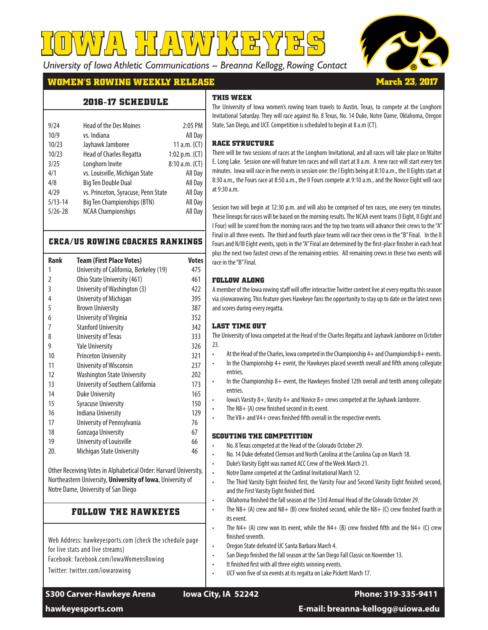*University of Iowa Athletic Communications -- Breanna Kellogg, Rowing Contact*

**IOWA HAWKEYES**



**March 23, 2017**

## **WOMEN'S ROWING WEEKLY RELEASE**

**2016-17 SCHEDULE** 

#### **THIS WEEK**

| 9/24        | <b>Head of the Des Moines</b>       | 2:05 PM          |
|-------------|-------------------------------------|------------------|
| 10/9        | vs. Indiana                         | All Day          |
| 10/23       | Jayhawk Jamboree                    | 11 $a.m.$ (CT)   |
| 10/23       | <b>Head of Charles Regatta</b>      | 1:02 p.m. $(CT)$ |
| 3/25        | Longhorn Invite                     | 8:10 a.m. (CT)   |
| 4/1         | vs. Louisville, Michigan State      | All Day          |
| 4/8         | <b>Big Ten Double Dual</b>          | All Day          |
| 4/29        | vs. Princeton, Syracuse, Penn State | All Day          |
| $5/13 - 14$ | <b>Big Ten Championships (BTN)</b>  | All Day          |
| $5/26 - 28$ | <b>NCAA Championships</b>           | All Day          |
|             |                                     |                  |

#### **CRCA/US ROWING COACHES RANKINGS**

| <b>Rank</b>                                                                                                                                                                                                                                                                                                                                         | <b>Team (First Place Votes)</b>         | <b>Votes</b> |  |
|-----------------------------------------------------------------------------------------------------------------------------------------------------------------------------------------------------------------------------------------------------------------------------------------------------------------------------------------------------|-----------------------------------------|--------------|--|
| 1                                                                                                                                                                                                                                                                                                                                                   | University of California, Berkeley (19) | 475          |  |
| $\overline{2}$                                                                                                                                                                                                                                                                                                                                      | Ohio State University (461)             | 461          |  |
| 3                                                                                                                                                                                                                                                                                                                                                   | University of Washington (3)            | 422          |  |
| $\overline{4}$                                                                                                                                                                                                                                                                                                                                      | University of Michigan                  | 395          |  |
| 5                                                                                                                                                                                                                                                                                                                                                   | <b>Brown University</b>                 | 387          |  |
| 6                                                                                                                                                                                                                                                                                                                                                   | University of Virginia                  | 352          |  |
| 7                                                                                                                                                                                                                                                                                                                                                   | <b>Stanford University</b>              | 342          |  |
| 8                                                                                                                                                                                                                                                                                                                                                   | University of Texas                     | 333          |  |
| 9                                                                                                                                                                                                                                                                                                                                                   | <b>Yale University</b>                  | 326          |  |
| 10                                                                                                                                                                                                                                                                                                                                                  | <b>Princeton University</b>             | 321          |  |
| 11                                                                                                                                                                                                                                                                                                                                                  | <b>University of Wisconsin</b>          | 237          |  |
| 12                                                                                                                                                                                                                                                                                                                                                  | <b>Washington State University</b>      | 202          |  |
| 13                                                                                                                                                                                                                                                                                                                                                  | University of Southern California       | 173          |  |
| 14                                                                                                                                                                                                                                                                                                                                                  | <b>Duke University</b>                  | 165          |  |
| 15                                                                                                                                                                                                                                                                                                                                                  | <b>Syracuse University</b>              | 150          |  |
| 16                                                                                                                                                                                                                                                                                                                                                  | <b>Indiana University</b>               | 129          |  |
| 17                                                                                                                                                                                                                                                                                                                                                  | University of Pennsylvania              | 76           |  |
| 18                                                                                                                                                                                                                                                                                                                                                  | Gonzaga University                      | 67           |  |
| 19                                                                                                                                                                                                                                                                                                                                                  | University of Louisville                | 66           |  |
| 20.                                                                                                                                                                                                                                                                                                                                                 | Michigan State University               | 46           |  |
| $\mathcal{L}$ . The state of the state of $\mathcal{L}$ and $\mathcal{L}$ and $\mathcal{L}$ and $\mathcal{L}$ and $\mathcal{L}$ and $\mathcal{L}$ and $\mathcal{L}$ and $\mathcal{L}$ and $\mathcal{L}$ and $\mathcal{L}$ and $\mathcal{L}$ and $\mathcal{L}$ and $\mathcal{L}$ and $\mathcal{L}$ and $\$<br><b>ALLEN AND AND</b><br>$0.1 \cdot 0.$ |                                         |              |  |

Other Receiving Votes in Alphabetical Order: Harvard University, Northeastern University, **University of Iowa**, University of Notre Dame, University of San Diego

#### **FOLLOW THE HAWKEYES**

Web Address: hawkeyesports.com (check the schedule page for live stats and live streams) Facebook: facebook.com/IowaWomensRowing Twitter: twitter.com/iowarowing

**S300 Carver-Hawkeye Arena Iowa City, IA 52242 Phone: 319-335-9411**

The University of Iowa women's rowing team travels to Austin, Texas, to compete at the Longhorn Invitational Saturday. They will race against No. 8 Texas, No. 14 Duke, Notre Dame, Oklahoma, Oregon State, San Diego, and UCF. Competition is scheduled to begin at 8 a.m (CT).

#### **RACE STRUCTURE**

There will be two sessions of races at the Longhorn Invitational, and all races will take place on Walter E. Long Lake. Session one will feature ten races and will start at 8 a.m. A new race will start every ten minutes. Iowa will race in five events in session one: the I Eights being at 8:10 a.m., the II Eights start at 8:30 a.m., the Fours race at 8:50 a.m., the II Fours compete at 9:10 a.m., and the Novice Eight will race at 9:30 a.m.

Session two will begin at 12:30 p.m. and will also be comprised of ten races, one every ten minutes. These lineups for races will be based on the morning results. The NCAA event teams (I Eight, II Eight and I Four) will be scored from the morning races and the top two teams will advance their crews to the "A" Final in all three events. The third and fourth place teams will race their crews in the "B" Final. In the II Fours and N/III Eight events, spots in the "A" Final are determined by the first-place finisher in each heat plus the next two fastest crews of the remaining entries. All remaining crews in these two events will race in the "B" Final.

#### **FOLLOW ALONG**

A member of the Iowa rowing staff will offer interactive Twitter content live at every regatta this season via @iowarowing. This feature gives Hawkeye fans the opportunity to stay up to date on the latest news and scores during every regatta.

#### **LAST TIME OUT**

The University of Iowa competed at the Head of the Charles Regatta and Jayhawk Jamboree on October  $23.$ 

- At the Head of the Charles, Iowa competed in the Championship 4+ and Championship 8+ events.
- In the Championship 4+ event, the Hawkeyes placed seventh overall and fifth among collegiate entries.
- In the Championship 8+ event, the Hawkeyes finished 12th overall and tenth among collegiate **entries**
- Iowa's Varsity 8+, Varsity 4+ and Novice 8+ crews competed at the Jayhawk Jamboree.
- The  $N8+$  (A) crew finished second in its event.
- The V8 $+$  and V4 $+$  crews finished fifth overall in the respective events.

#### **SCOUTING THE COMPETITION**

- No. 8 Texas competed at the Head of the Colorado October 29.
- No. 14 Duke defeated Clemson and North Carolina at the Carolina Cup on March 18.
- Duke's Varsity Eight was named ACC Crew of the Week March 21.
- Notre Dame competed at the Cardinal Invitational March 12.
- The Third Varsity Eight finished first, the Varsity Four and Second Varsity Eight finished second, and the First Varsity Eight finished third.
- Oklahoma finished the fall season at the 33rd Annual Head of the Colorado October 29.
- The N8+ (A) crew and N8+ (B) crew finished second, while the N8+ (C) crew finished fourth in its event.
- The N4+ (A) crew won its event, while the N4+ (B) crew finished fifth and the N4+ (C) crew finished seventh.
- Oregon State defeated UC Santa Barbara March 4.
- San Diego finished the fall season at the San Diego Fall Classic on November 13.
- It finished first with all three eights winning events.
- UCF won five of six events at its regatta on Lake Pickett March 17.

**hawkeyesports.com E-mail: breanna-kellogg@uiowa.edu**